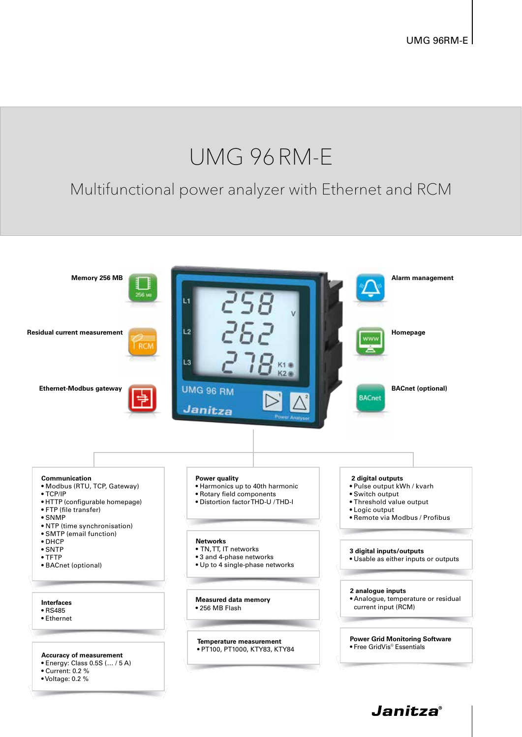# UMG 96RM-E

### Multifunctional power analyzer with Ethernet and RCM

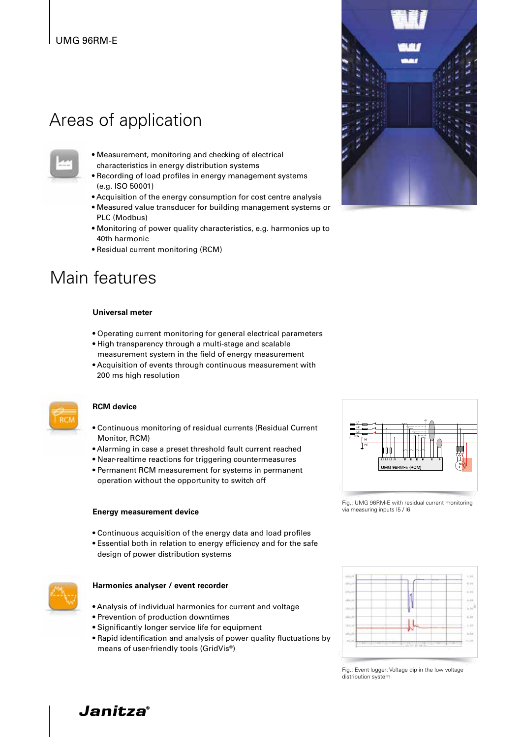### UMG 96RM-E

### Areas of application



- Measurement, monitoring and checking of electrical characteristics in energy distribution systems
- Recording of load profiles in energy management systems (e.g. ISO 50001)
- Acquisition of the energy consumption for cost centre analysis
- Measured value transducer for building management systems or PLC (Modbus)
- Monitoring of power quality characteristics, e.g. harmonics up to 40th harmonic
- Residual current monitoring (RCM)

### Main features

#### **Universal meter**

- Operating current monitoring for general electrical parameters
- High transparency through a multi-stage and scalable measurement system in the field of energy measurement
- Acquisition of events through continuous measurement with 200 ms high resolution



#### **RCM device**

- Continuous monitoring of residual currents (Residual Current Monitor, RCM)
- Alarming in case a preset threshold fault current reached
- Near-realtime reactions for triggering countermeasures
- Permanent RCM measurement for systems in permanent operation without the opportunity to switch off

#### **Energy measurement device**

- Continuous acquisition of the energy data and load profiles
- Essential both in relation to energy efficiency and for the safe design of power distribution systems



#### **Harmonics analyser / event recorder**

- Analysis of individual harmonics for current and voltage
- Prevention of production downtimes
- Significantly longer service life for equipment
- Rapid identification and analysis of power quality fluctuations by means of user-friendly tools (GridVis®)





Fig.: UMG 96RM-E with residual current monitoring via measuring inputs I5 / I6



Fig.: Event logger: Voltage dip in the low voltage distribution system

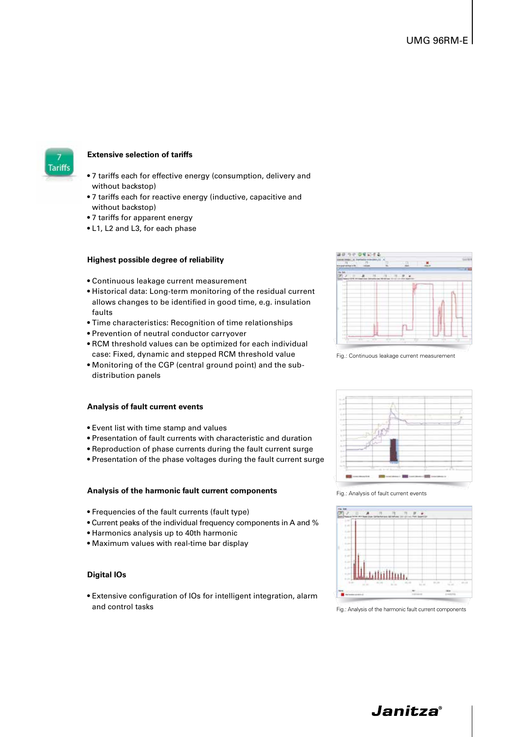

#### **Extensive selection of tariffs**

- 7 tariffs each for effective energy (consumption, delivery and without backstop)
- 7 tariffs each for reactive energy (inductive, capacitive and without backstop)
- 7 tariffs for apparent energy
- L1, L2 and L3, for each phase

#### **Highest possible degree of reliability**

- Continuous leakage current measurement
- Historical data: Long-term monitoring of the residual current allows changes to be identified in good time, e.g. insulation faults
- Time characteristics: Recognition of time relationships
- Prevention of neutral conductor carryover
- RCM threshold values can be optimized for each individual case: Fixed, dynamic and stepped RCM threshold value
- Monitoring of the CGP (central ground point) and the subdistribution panels

#### **Analysis of fault current events**

- Event list with time stamp and values
- Presentation of fault currents with characteristic and duration
- Reproduction of phase currents during the fault current surge
- Presentation of the phase voltages during the fault current surge

#### **Analysis of the harmonic fault current components**

- Frequencies of the fault currents (fault type)
- Current peaks of the individual frequency components in A and %
- Harmonics analysis up to 40th harmonic
- Maximum values with real-time bar display

#### **Digital IOs**

• Extensive configuration of IOs for intelligent integration, alarm and control tasks



Fig.: Continuous leakage current measurement



Fig.: Analysis of fault current events



Fig.: Analysis of the harmonic fault current components

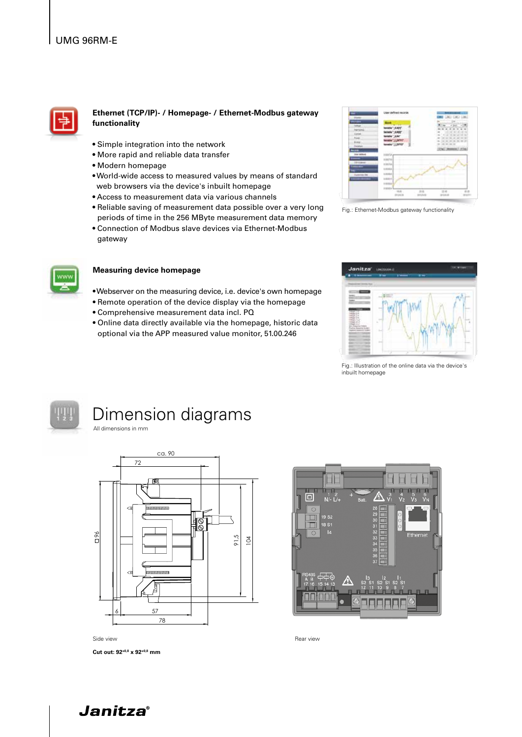

#### **Ethernet (TCP/IP)- / Homepage- / Ethernet-Modbus gateway functionality**

- Simple integration into the network
- More rapid and reliable data transfer
- Modern homepage
- World-wide access to measured values by means of standard web browsers via the device's inbuilt homepage
- Access to measurement data via various channels
- Reliable saving of measurement data possible over a very long periods of time in the 256 MByte measurement data memory
- Connection of Modbus slave devices via Ethernet-Modbus gateway



#### **Measuring device homepage**

- Webserver on the measuring device, i.e. device's own homepage
- Remote operation of the device display via the homepage
- Comprehensive measurement data incl. PQ
- Online data directly available via the homepage, historic data optional via the APP measured value monitor, 51.00.246



Fig.: Ethernet-Modbus gateway functionality



Fig.: Illustration of the online data via the device's inbuilt homepage



## Dimension diagrams

All dimensions in mm



Side view Rear view Rear view Rear view Rear view Rear view Rear view Rear view Rear view Rear view Rear view Rear view Rear view Rear view Rear view Rear view Rear view Rear view Rear view Rear view Rear view Rear view Re

**Cut out: 92+0,8 x 92+0,8 mm** 



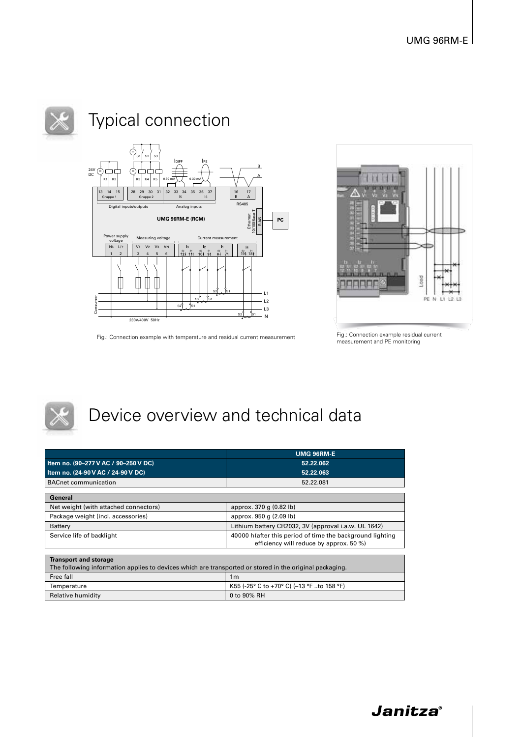

## Typical connection



Fig.: Connection example with temperature and residual current measurement



Fig.: Connection example residual current<br>measurement and PE monitoring



## Device overview and technical data

|                                                                                                         | <b>UMG 96RM-E</b>                                                                                    |  |  |
|---------------------------------------------------------------------------------------------------------|------------------------------------------------------------------------------------------------------|--|--|
| Item no. (90-277 V AC / 90-250 V DC)                                                                    | 52.22.062                                                                                            |  |  |
| Item no. (24-90 V AC / 24-90 V DC)                                                                      | 52.22.063                                                                                            |  |  |
| <b>BACnet communication</b>                                                                             | 52.22.081                                                                                            |  |  |
|                                                                                                         |                                                                                                      |  |  |
| General                                                                                                 |                                                                                                      |  |  |
| Net weight (with attached connectors)                                                                   | approx. 370 g (0.82 lb)                                                                              |  |  |
| Package weight (incl. accessories)                                                                      | approx. 950 g (2.09 lb)                                                                              |  |  |
| Battery                                                                                                 | Lithium battery CR2032, 3V (approval i.a.w. UL 1642)                                                 |  |  |
| Service life of backlight                                                                               | 40000 h(after this period of time the background lighting<br>efficiency will reduce by approx. 50 %) |  |  |
|                                                                                                         |                                                                                                      |  |  |
| <b>Transport and storage</b>                                                                            |                                                                                                      |  |  |
| The following information applies to devices which are transported or stored in the original packaging. |                                                                                                      |  |  |
| Free fall                                                                                               | 1 <sub>m</sub>                                                                                       |  |  |
| Temperature                                                                                             | K55 (-25° C to +70° C) (-13 °F to 158 °F)                                                            |  |  |
| Relative humidity                                                                                       | 0 to 90% RH                                                                                          |  |  |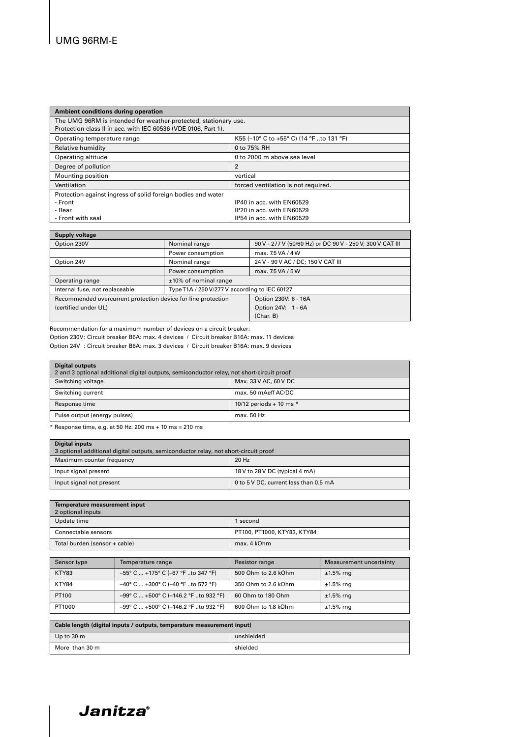| Ambient conditions during operation                             |                                          |  |
|-----------------------------------------------------------------|------------------------------------------|--|
| The UMG 96RM is intended for weather-protected, stationary use. |                                          |  |
| Protection class II in acc. with IEC 60536 (VDE 0106, Part 1).  |                                          |  |
| Operating temperature range                                     | K55 (-10° C to +55° C) (14 °F to 131 °F) |  |
| Relative humidity                                               | 0 to 75% RH                              |  |
| Operating altitude                                              | 0 to 2000 m above sea level              |  |
| Degree of pollution                                             | $\overline{2}$                           |  |
| Mounting position                                               | vertical                                 |  |
| Ventilation                                                     | forced ventilation is not required.      |  |
| Protection against ingress of solid foreign bodies and water    |                                          |  |
| - Front                                                         | IP40 in acc. with EN60529                |  |
| - Rear                                                          | IP20 in acc. with EN60529                |  |
| - Front with seal                                               | IP54 in acc. with EN60529                |  |

| <b>Supply voltage</b>                                         |                                               |                                                           |  |
|---------------------------------------------------------------|-----------------------------------------------|-----------------------------------------------------------|--|
| Option 230V                                                   | Nominal range                                 | 90 V - 277 V (50/60 Hz) or DC 90 V - 250 V; 300 V CAT III |  |
|                                                               | Power consumption                             | max. 7.5 VA / 4 W                                         |  |
| Option 24V                                                    | Nominal range                                 | 24 V - 90 V AC / DC; 150 V CAT III                        |  |
|                                                               | Power consumption                             | max. 7.5 VA / 5 W                                         |  |
| Operating range                                               | ±10% of nominal range                         |                                                           |  |
| Internal fuse, not replaceable                                | Type T1A / 250 V/277 V according to IEC 60127 |                                                           |  |
| Recommended overcurrent protection device for line protection |                                               | Option 230V: 6 - 16A                                      |  |
| (certified under UL)                                          |                                               | Option 24V: 1 - 6A                                        |  |
|                                                               |                                               | (Char, B)                                                 |  |

Recommendation for a maximum number of devices on a circuit breaker:

Option 230V: Circuit breaker B6A: max. 4 devices / Circuit breaker B16A: max. 11 devices Option 24V : Circuit breaker B6A: max. 3 devices / Circuit breaker B16A: max. 9 devices

| <b>Digital outputs</b><br>2 and 3 optional additional digital outputs, semiconductor relay, not short-circuit proof |                           |  |
|---------------------------------------------------------------------------------------------------------------------|---------------------------|--|
| Switching voltage                                                                                                   | Max. 33 V AC, 60 V DC     |  |
| Switching current                                                                                                   | max, 50 mAeff AC/DC       |  |
| Response time                                                                                                       | 10/12 periods + 10 ms $*$ |  |
| Pulse output (energy pulses)                                                                                        | max. 50 Hz                |  |

 $*$  Response time, e.g. at 50 Hz: 200 ms + 10 ms = 210 ms

| <b>Digital inputs</b><br>3 optional additional digital outputs, semiconductor relay, not short-circuit proof |                                       |  |
|--------------------------------------------------------------------------------------------------------------|---------------------------------------|--|
| Maximum counter frequency                                                                                    | 20 Hz                                 |  |
| Input signal present                                                                                         | 18 V to 28 V DC (typical 4 mA)        |  |
| Input signal not present                                                                                     | 0 to 5 V DC, current less than 0.5 mA |  |

| Temperature measurement input<br>2 optional inputs |                             |
|----------------------------------------------------|-----------------------------|
| Update time                                        | 1 second                    |
| Connectable sensors                                | PT100, PT1000, KTY83, KTY84 |
| Total burden (sensor + cable)                      | max. 4 kOhm                 |

| Sensor type | Temperature range                              | Resistor range      | Measurement uncertainty |
|-------------|------------------------------------------------|---------------------|-------------------------|
| KTY83       | $-55^{\circ}$ C  +175° C (-67 °F to 347 °F)    | 500 Ohm to 2.6 kOhm | $±1.5\%$ rng            |
| KTY84       | $-40^{\circ}$ C  +300° C (-40 °F to 572 °F)    | 350 Ohm to 2.6 kOhm | $±1.5\%$ rng            |
| PT100       | $-99^{\circ}$ C  +500° C (-146.2 °F to 932 °F) | 60 Ohm to 180 Ohm   | $±1.5\%$ rng            |
| PT1000      | $-99^{\circ}$ C  +500° C (-146.2 °F to 932 °F) | 600 Ohm to 1.8 kOhm | $±1.5\%$ rng            |

| Cable length (digital inputs / outputs, temperature measurement input) |            |  |
|------------------------------------------------------------------------|------------|--|
| Up to $30 \text{ m}$                                                   | unshielded |  |
| More than 30 m                                                         | shielded   |  |

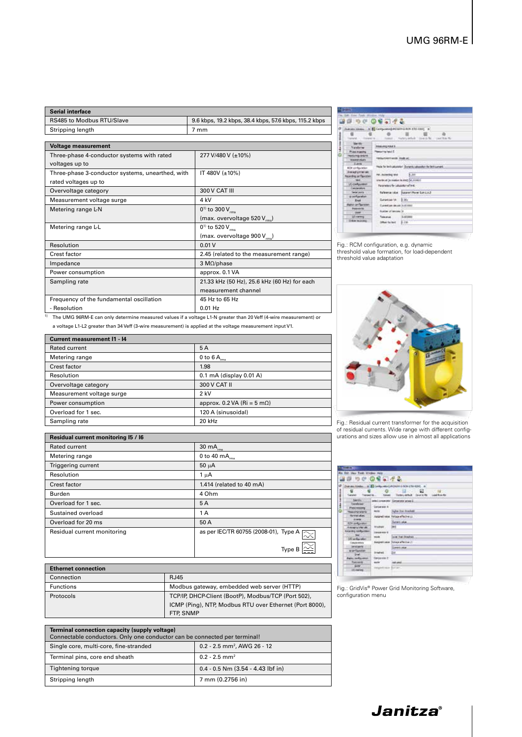| Serial interface                           |                                                       |  |
|--------------------------------------------|-------------------------------------------------------|--|
| RS485 to Modbus RTU/Slave                  | 9.6 kbps, 19.2 kbps, 38.4 kbps, 57.6 kbps, 115.2 kbps |  |
| Stripping length                           | 7 mm                                                  |  |
|                                            |                                                       |  |
| <b>Voltage measurement</b>                 |                                                       |  |
| Three-phase 4-conductor systems with rated | 277 V/480 V (±10%)                                    |  |

| voltages up to                                   |                                              |
|--------------------------------------------------|----------------------------------------------|
| Three-phase 3-conductor systems, unearthed, with | IT 480V $(\pm 10\%)$                         |
| rated voltages up to                             |                                              |
| Overvoltage category                             | 300 V CAT III                                |
| Measurement voltage surge                        | 4 kV                                         |
| Metering range L-N                               | $0^{1}$ to 300 V <sub>ms</sub>               |
|                                                  | (max. overvoltage 520 V <sub>rms</sub> )     |
| Metering range L-L                               | $0^{1}$ to 520 $V_{rms}$                     |
|                                                  | (max. overvoltage 900 V <sub>ms</sub> )      |
| Resolution                                       | 0.01V                                        |
| <b>Crest factor</b>                              | 2.45 (related to the measurement range)      |
| Impedance                                        | 3 $M\Omega$ /phase                           |
| Power consumption                                | approx. 0.1 VA                               |
| Sampling rate                                    | 21.33 kHz (50 Hz), 25.6 kHz (60 Hz) for each |
|                                                  | measurement channel                          |
| Frequency of the fundamental oscillation         | 45 Hz to 65 Hz                               |
| - Resolution                                     | $0.01$ Hz                                    |

| <sup>1)</sup> The UMG 96RM-E can only determine measured values if a voltage L1-N greater than 20 Veff (4-wire measurement) or |
|--------------------------------------------------------------------------------------------------------------------------------|
| a voltage L1-L2 greater than 34 Veff (3-wire measurement) is applied at the voltage measurement input V1.                      |

| <b>Current measurement I1 - I4</b> |                                       |  |
|------------------------------------|---------------------------------------|--|
| Rated current                      | 5A                                    |  |
| Metering range                     | 0 to 6 $A_{rms}$                      |  |
| Crest factor                       | 1.98                                  |  |
| Resolution                         | 0.1 mA (display 0.01 A)               |  |
| Overvoltage category               | 300 V CAT II                          |  |
| Measurement voltage surge          | $2$ kV                                |  |
| Power consumption                  | approx. 0.2 VA (Ri = $5 \text{ mA}$ ) |  |
| Overload for 1 sec.                | 120 A (sinusoidal)                    |  |
| Sampling rate                      | 20 kHz                                |  |

| Residual current monitoring I5 / I6 |                                       |
|-------------------------------------|---------------------------------------|
| <b>Rated current</b>                | 30 $mA_{rms}$                         |
| Metering range                      | 0 to 40 $mA_{rms}$                    |
| Triggering current                  | $50 \mu A$                            |
| Resolution                          | $1 \mu A$                             |
| Crest factor                        | 1.414 (related to 40 mA)              |
| <b>Burden</b>                       | 4 Ohm                                 |
| Overload for 1 sec.                 | 5A                                    |
| Sustained overload                  | 1 A                                   |
| Overload for 20 ms                  | 50 A                                  |
| Residual current monitoring         | as per IEC/TR 60755 (2008-01), Type A |
|                                     | Type                                  |

| <b>Ethernet connection</b> |                                                         |
|----------------------------|---------------------------------------------------------|
| Connection                 | <b>RJ45</b>                                             |
| <b>Functions</b>           | Modbus gateway, embedded web server (HTTP)              |
| Protocols                  | TCP/IP, DHCP-Client (BootP), Modbus/TCP (Port 502),     |
|                            | ICMP (Ping), NTP, Modbus RTU over Ethernet (Port 8000), |
|                            | FTP, SNMP                                               |

| Terminal connection capacity (supply voltage)<br>Connectable conductors. Only one conductor can be connected per terminal! |                                         |  |
|----------------------------------------------------------------------------------------------------------------------------|-----------------------------------------|--|
| Single core, multi-core, fine-stranded                                                                                     | 0.2 - 2.5 mm <sup>2</sup> , AWG 26 - 12 |  |
| Terminal pins, core end sheath                                                                                             | $0.2 - 2.5$ mm <sup>2</sup>             |  |
| Tightening torque                                                                                                          | $0.4 - 0.5$ Nm $(3.54 - 4.43)$ lbf in   |  |
| Stripping length                                                                                                           | 7 mm (0.2756 in)                        |  |

|                                                                          | 20000000                                                       |                                                              |
|--------------------------------------------------------------------------|----------------------------------------------------------------|--------------------------------------------------------------|
|                                                                          | Dummer (2014)  It's \$2 Configurating PC/MPH 2-RCh-1701-0202 3 |                                                              |
| 信<br>transmit-                                                           |                                                                | TOWER - June Funny artist Direct R. Listing N.               |
| $-124$<br>171 Nataliens                                                  | <b>Printed Ave. 4</b>                                          |                                                              |
| Philadelphia R                                                           | <b>Newsville Industry</b>                                      |                                                              |
| <b>PERSONALIVANI</b><br><b>TRANSVERS</b>                                 | <b>DRAY THREE WIDE STARK AC.</b>                               |                                                              |
| <b>Europe</b>                                                            |                                                                |                                                              |
| <b>BON similaration</b>                                                  |                                                                | Hele for be full usered Statentic Leaseful for both current. |
| <b><i>Replacing International</i></b><br><b>Recording central estate</b> | <b>NI. Hurseling land </b>                                     | <b>SCALE CALL TV ARVETS</b><br>\$1,700                       |
|                                                                          | steribud (a realise le inct: 56,00000)                         |                                                              |
| <b>LC metalures</b><br>Concerters                                        | <b>Represented for Industrial Art and</b>                      |                                                              |
| Series station in a                                                      |                                                                | Televisia labe - Sysanti Porer Sub LLL2                      |
| a nella vitati<br><b>Exit</b>                                            | Surfaction 1A                                                  | $E_{201}$                                                    |
| <b>BULLY JAY GALLERY</b>                                                 | Executive second institute                                     |                                                              |
| <b>President for</b><br>1.1989 T                                         | <b>National Among III</b>                                      |                                                              |
| Lill carming                                                             | Total price                                                    | id.dc.mmd                                                    |
| Dike recksing                                                            | Diffuse the land                                               | 1.14                                                         |

Fig.: RCM configuration, e.g. dynamic threshold value formation, for load-dependent threshold value adaptation



Fig.: Residual current transformer for the acquisition of residual currents. Wide range with different config-urations and sizes allow use in almost all applications

| 国際 りぐ のをこげる                                                                                                                                                                                                                                                                                                                                                   |                                                                                                                                                |                                                                                                                                                                                                                      |
|---------------------------------------------------------------------------------------------------------------------------------------------------------------------------------------------------------------------------------------------------------------------------------------------------------------------------------------------------------------|------------------------------------------------------------------------------------------------------------------------------------------------|----------------------------------------------------------------------------------------------------------------------------------------------------------------------------------------------------------------------|
| ぁ<br>- 67<br>Tuesdal<br>Tremelre                                                                                                                                                                                                                                                                                                                              | o                                                                                                                                              | Due also Kinds  In 10 Configurated AQADHI E GOV ETH-6240<br>œ<br><b>CONTE</b><br>Tolumi - Techny virtual - Zourin Ma - Luxel Box Kin                                                                                 |
| C sales from Winnipeg<br><b>Johnson</b><br><b><i><u>Considerant</u></i></b><br><b>Phone Immunity</b><br><b>Hugarita and Co</b><br><b>Retainabled</b><br><b>CELAND</b><br><b>SZF miljonky</b><br>Are service that rate<br><b>Instanting media.interi</b><br>10 artister<br><b>Times-miles</b><br><b>DEFATION TO</b><br>s originals:<br><b>Early mills rest</b> | Conservati A<br><b>Model</b><br>Justined value.<br><b>AT AN AGE OF</b><br>truber.<br><b>IMERSHIP E</b><br>ma<br><b>Erafteld</b><br>Oansewie C- | exterior summer Conventor private 2.<br><b>Turns That threefold</b><br><b>Tolup effective LL</b><br><b>Current column</b><br>뻐<br><b>LIKE THE BINDING</b><br>Europetische Tollage effective [3]<br>GAMMI (MA)<br>244 |
| <b><i><u>Ryanswell</u></i></b><br><b>SHE</b><br><b>10 Harrist</b>                                                                                                                                                                                                                                                                                             | <b>Good Rd</b><br>teranek zion Estat                                                                                                           | <b>NATIONAL</b>                                                                                                                                                                                                      |

Fig.: GridVis® Power Grid Monitoring Software, configuration menu